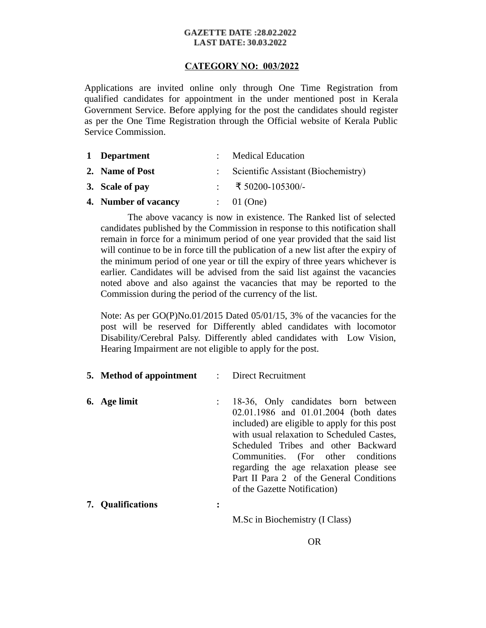## **GAZETTE DATE :28.02.2022 LAST DATE: 30.03.2022**

# **CATEGORY NO: 003/2022**

Applications are invited online only through One Time Registration from qualified candidates for appointment in the under mentioned post in Kerala Government Service. Before applying for the post the candidates should register as per the One Time Registration through the Official website of Kerala Public Service Commission.

| 1 Department         | <b>Medical Education</b>              |
|----------------------|---------------------------------------|
| 2. Name of Post      | : Scientific Assistant (Biochemistry) |
| 3. Scale of pay      | : ₹ 50200-105300/-                    |
| 4. Number of vacancy | : 01 (One)                            |

 The above vacancy is now in existence. The Ranked list of selected candidates published by the Commission in response to this notification shall remain in force for a minimum period of one year provided that the said list will continue to be in force till the publication of a new list after the expiry of the minimum period of one year or till the expiry of three years whichever is earlier. Candidates will be advised from the said list against the vacancies noted above and also against the vacancies that may be reported to the Commission during the period of the currency of the list.

Note: As per GO(P)No.01/2015 Dated 05/01/15, 3% of the vacancies for the post will be reserved for Differently abled candidates with locomotor Disability/Cerebral Palsy. Differently abled candidates with Low Vision, Hearing Impairment are not eligible to apply for the post.

- **5. Method of appointment** : Direct Recruitment
- **6. Age limit** : 18-36, Only candidates born between 02.01.1986 and 01.01.2004 (both dates included) are eligible to apply for this post with usual relaxation to Scheduled Castes, Scheduled Tribes and other Backward Communities. (For other conditions regarding the age relaxation please see Part II Para 2 of the General Conditions of the Gazette Notification)
- **7. Qualifications :**

M.Sc in Biochemistry (I Class)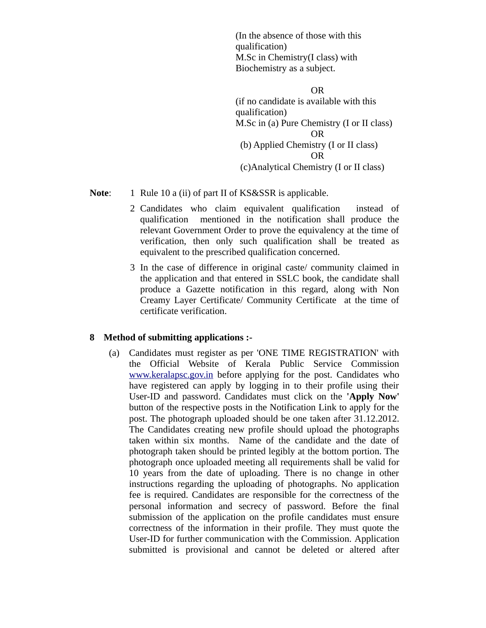(In the absence of those with this qualification) M.Sc in Chemistry(I class) with Biochemistry as a subject.

OR (if no candidate is available with this qualification) M.Sc in (a) Pure Chemistry (I or II class) OR (b) Applied Chemistry (I or II class) OR (c)Analytical Chemistry (I or II class)

# **Note:** 1 Rule 10 a (ii) of part II of KS&SSR is applicable.

- 2 Candidates who claim equivalent qualification instead of qualification mentioned in the notification shall produce the relevant Government Order to prove the equivalency at the time of verification, then only such qualification shall be treated as equivalent to the prescribed qualification concerned.
- 3 In the case of difference in original caste/ community claimed in the application and that entered in SSLC book, the candidate shall produce a Gazette notification in this regard, along with Non Creamy Layer Certificate/ Community Certificate at the time of certificate verification.

# **8 Method of submitting applications :-**

(a) Candidates must register as per 'ONE TIME REGISTRATION' with the Official Website of Kerala Public Service Commission [www.keralapsc.gov.in](http://www.kerealapsc.gov.in/) before applying for the post. Candidates who have registered can apply by logging in to their profile using their User-ID and password. Candidates must click on the **'Apply Now'** button of the respective posts in the Notification Link to apply for the post. The photograph uploaded should be one taken after 31.12.2012. The Candidates creating new profile should upload the photographs taken within six months. Name of the candidate and the date of photograph taken should be printed legibly at the bottom portion. The photograph once uploaded meeting all requirements shall be valid for 10 years from the date of uploading. There is no change in other instructions regarding the uploading of photographs. No application fee is required. Candidates are responsible for the correctness of the personal information and secrecy of password. Before the final submission of the application on the profile candidates must ensure correctness of the information in their profile. They must quote the User-ID for further communication with the Commission. Application submitted is provisional and cannot be deleted or altered after